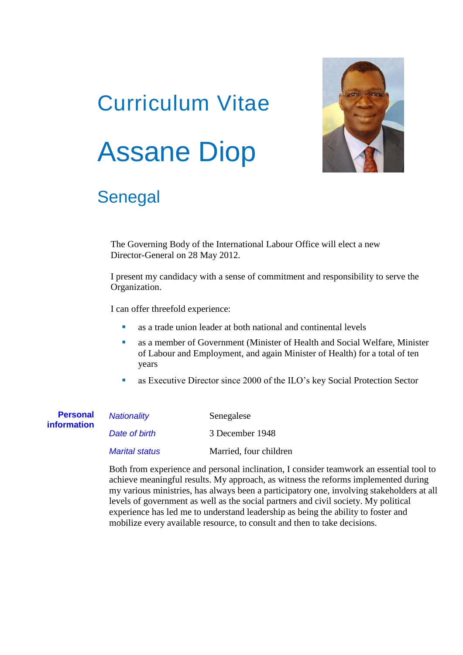# Curriculum Vitae Assane Diop



# Senegal

The Governing Body of the International Labour Office will elect a new Director-General on 28 May 2012.

I present my candidacy with a sense of commitment and responsibility to serve the Organization.

I can offer threefold experience:

- as a trade union leader at both national and continental levels
- as a member of Government (Minister of Health and Social Welfare, Minister of Labour and Employment, and again Minister of Health) for a total of ten years
- as Executive Director since 2000 of the ILO's key Social Protection Sector

| <b>Personal</b><br><i>information</i> | Nationality           | Senegalese             |
|---------------------------------------|-----------------------|------------------------|
|                                       | Date of birth         | 3 December 1948        |
|                                       | <b>Marital status</b> | Married, four children |

Both from experience and personal inclination, I consider teamwork an essential tool to achieve meaningful results. My approach, as witness the reforms implemented during my various ministries, has always been a participatory one, involving stakeholders at all levels of government as well as the social partners and civil society. My political experience has led me to understand leadership as being the ability to foster and mobilize every available resource, to consult and then to take decisions.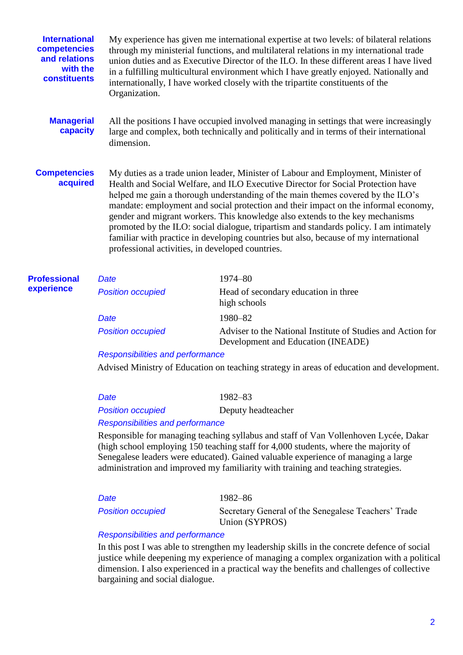| <b>International</b><br>competencies<br>and relations<br>with the<br>constituents | Organization.            | My experience has given me international expertise at two levels: of bilateral relations<br>through my ministerial functions, and multilateral relations in my international trade<br>union duties and as Executive Director of the ILO. In these different areas I have lived<br>in a fulfilling multicultural environment which I have greatly enjoyed. Nationally and<br>internationally, I have worked closely with the tripartite constituents of the                                                                                                                                                                                                             |  |
|-----------------------------------------------------------------------------------|--------------------------|------------------------------------------------------------------------------------------------------------------------------------------------------------------------------------------------------------------------------------------------------------------------------------------------------------------------------------------------------------------------------------------------------------------------------------------------------------------------------------------------------------------------------------------------------------------------------------------------------------------------------------------------------------------------|--|
| <b>Managerial</b><br>capacity                                                     | dimension.               | All the positions I have occupied involved managing in settings that were increasingly<br>large and complex, both technically and politically and in terms of their international                                                                                                                                                                                                                                                                                                                                                                                                                                                                                      |  |
| <b>Competencies</b><br>acquired                                                   |                          | My duties as a trade union leader, Minister of Labour and Employment, Minister of<br>Health and Social Welfare, and ILO Executive Director for Social Protection have<br>helped me gain a thorough understanding of the main themes covered by the ILO's<br>mandate: employment and social protection and their impact on the informal economy,<br>gender and migrant workers. This knowledge also extends to the key mechanisms<br>promoted by the ILO: social dialogue, tripartism and standards policy. I am intimately<br>familiar with practice in developing countries but also, because of my international<br>professional activities, in developed countries. |  |
| <b>Professional</b><br>experience                                                 | <b>Date</b>              | 1974-80                                                                                                                                                                                                                                                                                                                                                                                                                                                                                                                                                                                                                                                                |  |
|                                                                                   | <b>Position occupied</b> | Head of secondary education in three<br>high schools                                                                                                                                                                                                                                                                                                                                                                                                                                                                                                                                                                                                                   |  |
|                                                                                   | <b>Date</b>              | 1980-82                                                                                                                                                                                                                                                                                                                                                                                                                                                                                                                                                                                                                                                                |  |

**Position occupied** Adviser to the National Institute of Studies and Action for Development and Education (INEADE)

*Responsibilities and performance*

Advised Ministry of Education on teaching strategy in areas of education and development.

| Date                                    | 1982–83            |  |  |
|-----------------------------------------|--------------------|--|--|
| <b>Position occupied</b>                | Deputy headteacher |  |  |
| <b>Responsibilities and performance</b> |                    |  |  |

Responsible for managing teaching syllabus and staff of Van Vollenhoven Lycée, Dakar (high school employing 150 teaching staff for 4,000 students, where the majority of Senegalese leaders were educated). Gained valuable experience of managing a large

administration and improved my familiarity with training and teaching strategies.

*Date* 1982–86

**Position occupied** Secretary General of the Senegalese Teachers' Trade Union (SYPROS)

# *Responsibilities and performance*

In this post I was able to strengthen my leadership skills in the concrete defence of social justice while deepening my experience of managing a complex organization with a political dimension. I also experienced in a practical way the benefits and challenges of collective bargaining and social dialogue.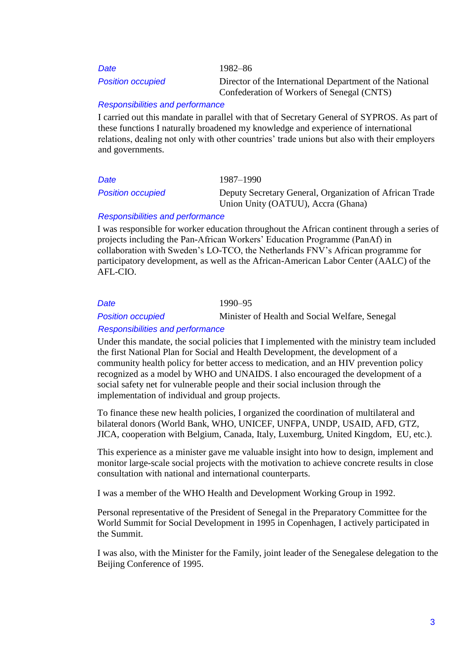3

*Date* 1982–86

*Position occupied* Director of the International Department of the National Confederation of Workers of Senegal (CNTS)

# *Responsibilities and performance*

I carried out this mandate in parallel with that of Secretary General of SYPROS. As part of these functions I naturally broadened my knowledge and experience of international relations, dealing not only with other countries' trade unions but also with their employers and governments.

*Date* 1987–1990

**Position** *occupied* Deputy Secretary General, Organization of African Trade Union Unity (OATUU), Accra (Ghana)

# *Responsibilities and performance*

I was responsible for worker education throughout the African continent through a series of projects including the Pan-African Workers' Education Programme (PanAf) in collaboration with Sweden's LO-TCO, the Netherlands FNV's African programme for participatory development, as well as the African-American Labor Center (AALC) of the AFL-CIO.

*Date* 1990–95

*Position occupied* Minister of Health and Social Welfare, Senegal

# *Responsibilities and performance*

Under this mandate, the social policies that I implemented with the ministry team included the first National Plan for Social and Health Development, the development of a community health policy for better access to medication, and an HIV prevention policy recognized as a model by WHO and UNAIDS. I also encouraged the development of a social safety net for vulnerable people and their social inclusion through the implementation of individual and group projects.

To finance these new health policies, I organized the coordination of multilateral and bilateral donors (World Bank, WHO, UNICEF, UNFPA, UNDP, USAID, AFD, GTZ, JICA, cooperation with Belgium, Canada, Italy, Luxemburg, United Kingdom, EU, etc.).

This experience as a minister gave me valuable insight into how to design, implement and monitor large-scale social projects with the motivation to achieve concrete results in close consultation with national and international counterparts.

I was a member of the WHO Health and Development Working Group in 1992.

Personal representative of the President of Senegal in the Preparatory Committee for the World Summit for Social Development in 1995 in Copenhagen, I actively participated in the Summit.

I was also, with the Minister for the Family, joint leader of the Senegalese delegation to the Beijing Conference of 1995.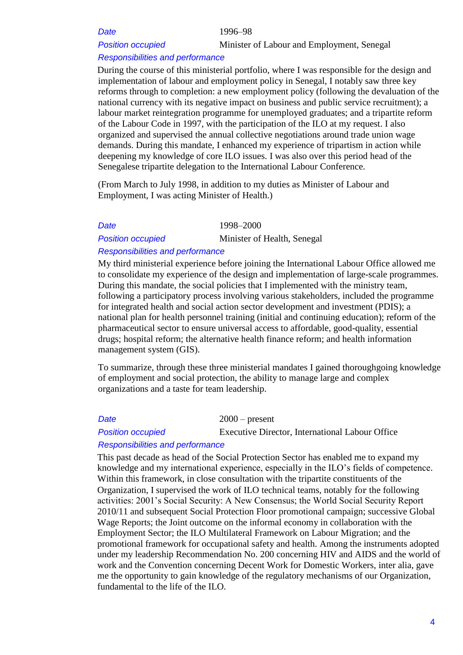*Date* 1996–98

*Position occupied* Minister of Labour and Employment, Senegal

### *Responsibilities and performance*

During the course of this ministerial portfolio, where I was responsible for the design and implementation of labour and employment policy in Senegal, I notably saw three key reforms through to completion: a new employment policy (following the devaluation of the national currency with its negative impact on business and public service recruitment); a labour market reintegration programme for unemployed graduates; and a tripartite reform of the Labour Code in 1997, with the participation of the ILO at my request. I also organized and supervised the annual collective negotiations around trade union wage demands. During this mandate, I enhanced my experience of tripartism in action while deepening my knowledge of core ILO issues. I was also over this period head of the Senegalese tripartite delegation to the International Labour Conference.

(From March to July 1998, in addition to my duties as Minister of Labour and Employment, I was acting Minister of Health.)

*Date* 1998–2000

*Position occupied* Minister of Health, Senegal

## *Responsibilities and performance*

My third ministerial experience before joining the International Labour Office allowed me to consolidate my experience of the design and implementation of large-scale programmes. During this mandate, the social policies that I implemented with the ministry team, following a participatory process involving various stakeholders, included the programme for integrated health and social action sector development and investment (PDIS); a national plan for health personnel training (initial and continuing education); reform of the pharmaceutical sector to ensure universal access to affordable, good-quality, essential drugs; hospital reform; the alternative health finance reform; and health information management system (GIS).

To summarize, through these three ministerial mandates I gained thoroughgoing knowledge of employment and social protection, the ability to manage large and complex organizations and a taste for team leadership.

*Date* 2000 – present **Position occupied** Executive Director, International Labour Office

# *Responsibilities and performance*

This past decade as head of the Social Protection Sector has enabled me to expand my knowledge and my international experience, especially in the ILO's fields of competence. Within this framework, in close consultation with the tripartite constituents of the Organization, I supervised the work of ILO technical teams, notably for the following activities: 2001's Social Security: A New Consensus; the World Social Security Report 2010/11 and subsequent Social Protection Floor promotional campaign; successive Global Wage Reports; the Joint outcome on the informal economy in collaboration with the Employment Sector; the ILO Multilateral Framework on Labour Migration; and the promotional framework for occupational safety and health. Among the instruments adopted under my leadership Recommendation No. 200 concerning HIV and AIDS and the world of work and the Convention concerning Decent Work for Domestic Workers, inter alia, gave me the opportunity to gain knowledge of the regulatory mechanisms of our Organization, fundamental to the life of the ILO.